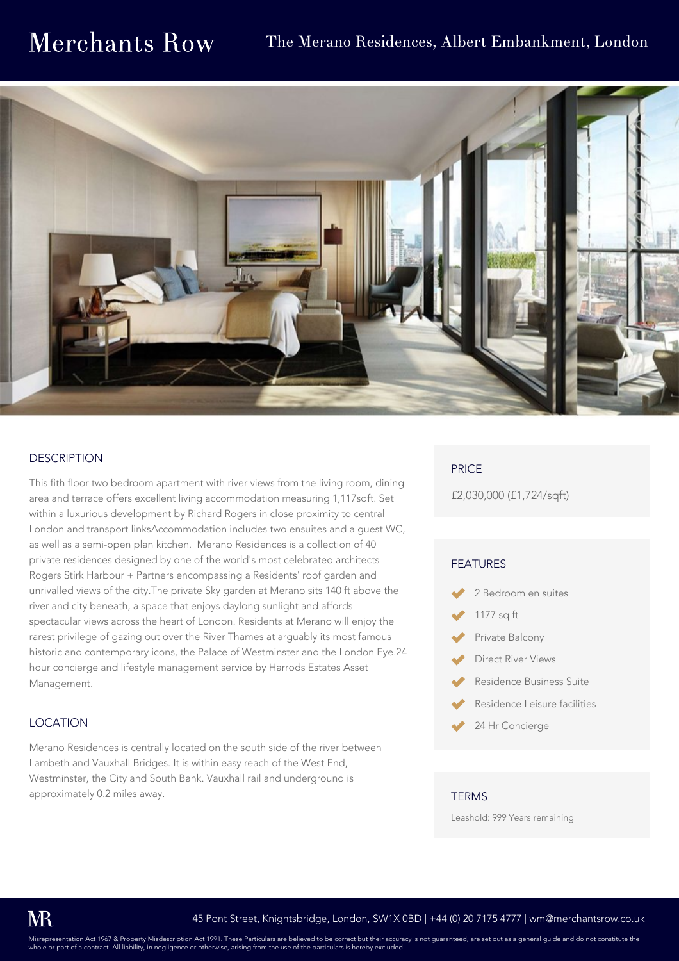## **Merchants Row**

### The Merano Residences, Albert Embankment, London



#### **DESCRIPTION**

This fith floor two bedroom apartment with river views from the living room, dining area and terrace offers excellent living accommodation measuring 1,117sqft. Set within a luxurious development by Richard Rogers in close proximity to central London and transport linksAccommodation includes two ensuites and a guest WC, as well as a semi-open plan kitchen. Merano Residences is a collection of 40 private residences designed by one of the world's most celebrated architects Rogers Stirk Harbour + Partners encompassing a Residents' roof garden and unrivalled views of the city.The private Sky garden at Merano sits 140 ft above the river and city beneath, a space that enjoys daylong sunlight and affords spectacular views across the heart of London. Residents at Merano will enjoy the rarest privilege of gazing out over the River Thames at arguably its most famous historic and contemporary icons, the Palace of Westminster and the London Eye.24 hour concierge and lifestyle management service by Harrods Estates Asset Management.

#### LOCATION

Merano Residences is centrally located on the south side of the river between Lambeth and Vauxhall Bridges. It is within easy reach of the West End, Westminster, the City and South Bank. Vauxhall rail and underground is approximately 0.2 miles away.

#### PRICE

£2,030,000 (£1,724/sqft)

#### FEATURES

- 2 Bedroom en suites
- 1177 sq ft
- Private Balcony
- Direct River Views
- Residence Business Suite
- Residence Leisure facilities
- 24 Hr Concierge

#### **TERMS**

Leashold: 999 Years remaining

Misrepresentation Act 1967 & Property Misdescription Act 1991. These Particulars are believed to be correct but their accuracy is not guaranteed, are set out as a general guide and do not constitute the<br>whole or part of a whole or part of a contract. All liability, in negligence or otherwise, arising from the use of the particulars is  $\frac{1}{2}$